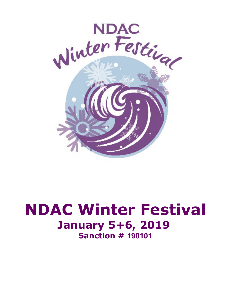

# **NDAC Winter Festival January 5+6, 2019 Sanction # 190101**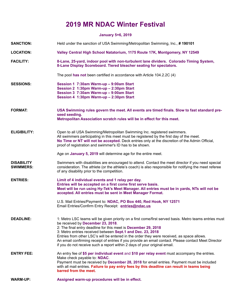## **2019 MR NDAC Winter Festival**

### **January 5+6, 2019**

| <b>SANCTION:</b>                      | Held under the sanction of USA Swimming/Metropolitan Swimming, Inc., #190101                                                                                                                                                                                                                                                                                                                                                                                                                                                                                   |
|---------------------------------------|----------------------------------------------------------------------------------------------------------------------------------------------------------------------------------------------------------------------------------------------------------------------------------------------------------------------------------------------------------------------------------------------------------------------------------------------------------------------------------------------------------------------------------------------------------------|
| <b>LOCATION:</b>                      | Valley Central High School Natatorium, 1175 Route 17K, Montgomery, NY 12549                                                                                                                                                                                                                                                                                                                                                                                                                                                                                    |
| <b>FACILITY:</b>                      | 8-Lane, 25-yard, indoor pool with non-turbulent lane dividers. Colorado Timing System,<br>8-Lane Display Scoreboard. Tiered bleacher seating for spectators.                                                                                                                                                                                                                                                                                                                                                                                                   |
|                                       | The pool has not been certified in accordance with Article 104.2.2C (4)                                                                                                                                                                                                                                                                                                                                                                                                                                                                                        |
| <b>SESSIONS:</b>                      | Session 1 7:30am Warm-up - 9:00am Start<br>Session 2 1:30pm Warm-up - 2:30pm Start<br>Session 3 7:30am Warm-up - 9:00am Start<br>Session 4 1:30pm Warm-up - 2:30pm Start                                                                                                                                                                                                                                                                                                                                                                                       |
| <b>FORMAT:</b>                        | USA Swimming rules govern the meet. All events are timed finals. Slow to fast standard pre-<br>seed seeding.<br>Metropolitan Association scratch rules will be in effect for this meet.                                                                                                                                                                                                                                                                                                                                                                        |
| <b>ELIGIBILITY:</b>                   | Open to all USA Swimming/Metropolitan Swimming Inc. registered swimmers.<br>All swimmers participating in this meet must be registered by the first day of the meet.<br>No Time or NT will not be accepted. Deck entries only at the discretion of the Admin Official,<br>proof of registration and swimmer's ID has to be shown.                                                                                                                                                                                                                              |
|                                       | Age on January 5, 2019 will determine age for the entire meet.                                                                                                                                                                                                                                                                                                                                                                                                                                                                                                 |
| <b>DISABILITY</b><br><b>SWIMMERS:</b> | Swimmers with disabilities are encouraged to attend. Contact the meet director if you need special<br>consideration. The athlete (or the athlete's coach) is also responsible for notifying the meet referee<br>of any disability prior to the competition.                                                                                                                                                                                                                                                                                                    |
| <b>ENTRIES:</b>                       | Limit of 4 individual events and 1 relay per day.<br>Entries will be accepted on a first come first serve basis.<br>Meet will be run using Hy-Tek's Meet Manager. All entries must be in yards, NTs will not be<br>accepted. All entries must be sent in Meet Manager Format.                                                                                                                                                                                                                                                                                  |
|                                       | U.S. Mail Entries/Payment to: NDAC, PO Box 440, Red Hook, NY 12571<br>Email Entries/Confirm Entry Receipt: entries@ndac.us                                                                                                                                                                                                                                                                                                                                                                                                                                     |
| <b>DEADLINE:</b>                      | 1: Metro LSC teams will be given priority on a first come/first served basis. Metro teams entries must<br>be received by December 23, 2018.<br>2: The final entry deadline for this meet is December 29, 2018<br>3: Metro entries received between Sept.1 and Dec. 23, 2018<br>Entries from other LSC's will be entered in the order they were received, as space allows.<br>An email confirming receipt of entries if you provide an email contact. Please contact Meet Director<br>if you do not receive such a report within 2 days of your original email. |
| <b>ENTRY FEE:</b>                     | An entry fee of \$5 per individual event and \$10 per relay event must accompany the entries.<br>Make check payable to: NDAC.<br>Payment must be received by December 28, 2018 for email entries. Payment must be included<br>with all mail entries. Failure to pay entry fees by this deadline can result in teams being<br>barred from the meet.                                                                                                                                                                                                             |
| <b>WARM-UP:</b>                       | Assigned warm-up procedures will be in effect.                                                                                                                                                                                                                                                                                                                                                                                                                                                                                                                 |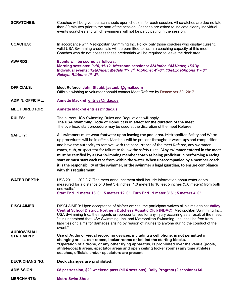| <b>SCRATCHES:</b>                        | Coaches will be given scratch sheets upon check-in for each session. All scratches are due no later<br>than 30 minutes prior to the start of the session. Coaches are asked to indicate clearly individual<br>events scratches and which swimmers will not be participating in the session.                                                                                                                                                                                                                                                                                                                                                                                                                            |
|------------------------------------------|------------------------------------------------------------------------------------------------------------------------------------------------------------------------------------------------------------------------------------------------------------------------------------------------------------------------------------------------------------------------------------------------------------------------------------------------------------------------------------------------------------------------------------------------------------------------------------------------------------------------------------------------------------------------------------------------------------------------|
| <b>COACHES:</b>                          | In accordance with Metropolitan Swimming Inc. Policy, only those coaches who display current,<br>valid USA Swimming credentials will be permitted to act in a coaching capacity at this meet.<br>Coaches who do not possess these credentials will be required to leave the deck area.                                                                                                                                                                                                                                                                                                                                                                                                                                 |
| <b>AWARDS:</b>                           | Events will be scored as follows:<br>Morning sessions: 9-10, 11-12. Afternoon sessions: 8&Under, 14&Under, 15&Up.<br>Individual events: 12&Under: Medals 1 <sup>st</sup> - 3 <sup>rd</sup> , Ribbons: 4 <sup>th</sup> -8 <sup>th</sup> . 13&Up: Ribbons 1 <sup>st</sup> - 8 <sup>th</sup> .<br>Relays: Ribbons 1st- 3rd.                                                                                                                                                                                                                                                                                                                                                                                               |
| <b>OFFICIALS:</b>                        | Meet Referee: John Staubi, jastaubi@gmail.com<br>Officials wishing to volunteer should contact Meet Referee by December 30, 2017.                                                                                                                                                                                                                                                                                                                                                                                                                                                                                                                                                                                      |
| <b>ADMIN. OFFICIAL:</b>                  | Annette Mackrel entries@ndac.us                                                                                                                                                                                                                                                                                                                                                                                                                                                                                                                                                                                                                                                                                        |
| <b>MEET DIRECTOR:</b>                    | Annette Mackrel entries@ndac.us                                                                                                                                                                                                                                                                                                                                                                                                                                                                                                                                                                                                                                                                                        |
| <b>RULES:</b>                            | The current USA Swimming Rules and Regulations will apply.<br>The USA Swimming Code of Conduct is in effect for the duration of the meet.<br>The overhead start procedure may be used at the discretion of the meet Referee.                                                                                                                                                                                                                                                                                                                                                                                                                                                                                           |
| <b>SAFETY:</b>                           | All swimmers must wear footwear upon leaving the pool area. Metropolitan Safety and Warm-<br>up procedures will be in effect. Marshals will be present throughout warm-ups and competition,<br>and have the authority to remove, with the concurrence of the meet Referee, any swimmer,<br>coach, club, or spectator for failure to follow the safety rules. "Any swimmer entered in the meet<br>must be certified by a USA Swimming member coach as being proficient in performing a racing<br>start or must start each race from within the water. When unaccompanied by a member-coach,<br>it is the responsibility of the swimmer, or the swimmer's legal guardian, to ensure compliance<br>with this requirement" |
| <b>WATER DEPTH:</b>                      | USA 2011 - 202.3.7 "The meet announcement shall include information about water depth<br>measured for a distance of 3 feet 31/2 inches (1.0 meter) to 16 feet 5 inches (5.0 meters) from both<br>end walls."<br>Start End1 meter 13' 0"; 5 meters 12' 0"; Turn End1 meter 3' 6"; 5 meters 4' 0"                                                                                                                                                                                                                                                                                                                                                                                                                        |
| <b>DISCLAIMER:</b>                       | DISCLAIMER: Upon acceptance of his/her entries, the participant waives all claims against Valley<br>Central School District, Northern Dutchess Aquatic Club (NDAC), Metropolitan Swimming Inc.,<br>USA Swimming Inc., their agents or representatives for any injury occurring as a result of the meet.<br>"It is understood that USA Swimming, Inc. and Metropolitan Swimming, Inc. shall be free from<br>liabilities or claims for damages arising by reason of injuries to anyone during the conduct of the<br>event."                                                                                                                                                                                              |
| <b>AUDIO/VISUAL</b><br><b>STATEMENT:</b> | Use of Audio or visual recording devices, including a cell phone, is not permitted in<br>changing areas, rest rooms, locker rooms or behind the starting blocks.<br>"Operation of a drone, or any other flying apparatus, is prohibited over the venue (pools,<br>athlete/coach areas, spectator areas and open ceiling locker rooms) any time athletes,<br>coaches, officials and/or spectators are present."                                                                                                                                                                                                                                                                                                         |
| <b>DECK CHANGING:</b>                    | Deck changes are prohibited.                                                                                                                                                                                                                                                                                                                                                                                                                                                                                                                                                                                                                                                                                           |
| <b>ADMISSION:</b>                        | \$8 per session, \$20 weekend pass (all 4 sessions), Daily Program (2 sessions) \$6                                                                                                                                                                                                                                                                                                                                                                                                                                                                                                                                                                                                                                    |
| <b>MERCHANTS:</b>                        | <b>Metro Swim Shop</b>                                                                                                                                                                                                                                                                                                                                                                                                                                                                                                                                                                                                                                                                                                 |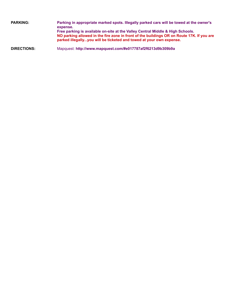| <b>PARKING:</b> | Parking in appropriate marked spots. Illegally parked cars will be towed at the owner's<br>expense.                                                                                                                                                |
|-----------------|----------------------------------------------------------------------------------------------------------------------------------------------------------------------------------------------------------------------------------------------------|
|                 | Free parking is available on-site at the Valley Central Middle & High Schools.<br>NO parking allowed in the fire zone in front of the buildings OR on Route 17K. If you are<br>parked illegallyyou will be ticketed and towed at your own expense. |
|                 |                                                                                                                                                                                                                                                    |

**DIRECTIONS:** Mapquest: **http://www.mapquest.com/#e017787af2f6213d9b309b9a**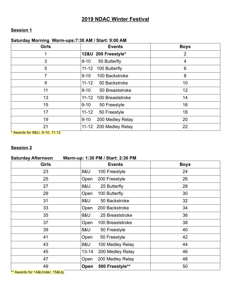## **2019 NDAC Winter Festival**

## **Session 1**

#### **Saturday Morning Warm-ups:7:30 AM / Start: 9:00 AM**

| <b>Girls</b> | <b>Events</b>                 | <b>Boys</b> |
|--------------|-------------------------------|-------------|
|              | 12&U 200 Freestyle*           | 2           |
| 3            | 50 Butterfly<br>$9 - 10$      | 4           |
| 5            | 100 Butterfly<br>$11 - 12$    | 6           |
| 7            | 100 Backstroke<br>$9 - 10$    | 8           |
| 9            | $11 - 12$<br>50 Backstroke    | 10          |
| 11           | 50 Breaststroke<br>$9 - 10$   | 12          |
| 13           | $11 - 12$<br>100 Breaststroke | 14          |
| 15           | $9 - 10$<br>50 Freestyle      | 16          |
| 17           | $11 - 12$<br>50 Freestyle     | 18          |
| 19           | 200 Medley Relay<br>$9 - 10$  | 20          |
| 21           | 11-12 200 Medley Relay        | 22          |

\* Awards for 8&U, 9-10, 11-12

## **Session 2**

| <b>Saturday Afternoon</b><br>Warm-up: 1:30 PM / Start: 2:30 PM |                               |             |
|----------------------------------------------------------------|-------------------------------|-------------|
| <b>Girls</b>                                                   | <b>Events</b>                 | <b>Boys</b> |
| 23                                                             | 8&U<br>100 Freestyle          | 24          |
| 25                                                             | 200 Freestyle<br>Open         | 26          |
| 27                                                             | 8&U<br>25 Butterfly           | 28          |
| 29                                                             | Open<br>100 Butterfly         | 30          |
| 31                                                             | 8&U<br>50 Backstroke          | 32          |
| 33                                                             | Open<br>200 Backstroke        | 34          |
| 35                                                             | 8&U<br>25 Breaststroke        | 36          |
| 37                                                             | 100 Breaststroke<br>Open      | 38          |
| 39                                                             | 8&U<br>50 Freestyle           | 40          |
| 41                                                             | 50 Freestyle<br>Open          | 42          |
| 43                                                             | 8&U<br>100 Medley Relay       | 44          |
| 45                                                             | 200 Medley Relay<br>$13 - 14$ | 46          |
| 47                                                             | 200 Medley Relay<br>Open      | 48          |
| 49                                                             | 500 Freestyle**<br>Open       | 50          |

\*\* Awards for 14&Under, 15&Up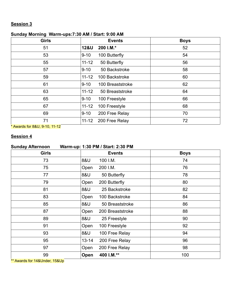## **Session 3**

## **Sunday Morning Warm-ups:7:30 AM / Start: 9:00 AM**

| <b>Girls</b> |                 | <b>Events</b>    | <b>Boys</b> |
|--------------|-----------------|------------------|-------------|
| 51           | <b>12&amp;U</b> | 200 I.M.*        | 52          |
| 53           | $9 - 10$        | 100 Butterfly    | 54          |
| 55           | $11 - 12$       | 50 Butterfly     | 56          |
| 57           | $9 - 10$        | 50 Backstroke    | 58          |
| 59           | $11 - 12$       | 100 Backstroke   | 60          |
| 61           | $9 - 10$        | 100 Breaststroke | 62          |
| 63           | $11 - 12$       | 50 Breaststroke  | 64          |
| 65           | $9 - 10$        | 100 Freestyle    | 66          |
| 67           | $11 - 12$       | 100 Freestyle    | 68          |
| 69           | $9 - 10$        | 200 Free Relay   | 70          |
| 71           | $11 - 12$       | 200 Free Relay   | 72          |

\* Awards for 8&U, 9-10, 11-12

### **Session 4**

| <b>Sunday Afternoon</b> |           | Warm-up: 1:30 PM / Start: 2:30 PM |             |
|-------------------------|-----------|-----------------------------------|-------------|
| <b>Girls</b>            |           | <b>Events</b>                     | <b>Boys</b> |
| 73                      | 8&U       | 100 I.M.                          | 74          |
| 75                      | Open      | 200 I.M.                          | 76          |
| 77                      | 8&U       | 50 Butterfly                      | 78          |
| 79                      | Open      | 200 Butterfly                     | 80          |
| 81                      | 8&U       | 25 Backstroke                     | 82          |
| 83                      | Open      | 100 Backstroke                    | 84          |
| 85                      | 8&U       | 50 Breaststroke                   | 86          |
| 87                      | Open      | 200 Breaststroke                  | 88          |
| 89                      | 8&U       | 25 Freestyle                      | 90          |
| 91                      | Open      | 100 Freestyle                     | 92          |
| 93                      | 8&U       | 100 Free Relay                    | 94          |
| 95                      | $13 - 14$ | 200 Free Relay                    | 96          |
| 97                      | Open      | 200 Free Relay                    | 98          |
| 99                      | Open      | 400 I.M.**                        | 100         |

\*\* Awards for 14&Under, 15&Up